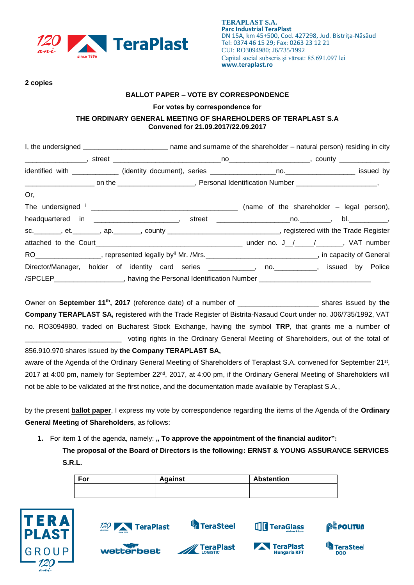

### **2 copies**

## **BALLOT PAPER – VOTE BY CORRESPONDENCE**

#### **For votes by correspondence for**

## **THE ORDINARY GENERAL MEETING OF SHAREHOLDERS OF TERAPLAST S.A Convened for 21.09.2017/22.09.2017**

|                                                                                                                             | I, the undersigned ________________________________ name and surname of the shareholder - natural person) residing in city |  |  |  |  |
|-----------------------------------------------------------------------------------------------------------------------------|----------------------------------------------------------------------------------------------------------------------------|--|--|--|--|
|                                                                                                                             |                                                                                                                            |  |  |  |  |
|                                                                                                                             |                                                                                                                            |  |  |  |  |
|                                                                                                                             |                                                                                                                            |  |  |  |  |
| Or,                                                                                                                         |                                                                                                                            |  |  |  |  |
|                                                                                                                             |                                                                                                                            |  |  |  |  |
| headquartered in ____________________________, street _______________________________, bl.______________,                   |                                                                                                                            |  |  |  |  |
| sc.________, et._______, ap._______, county ____________________________, registered with the Trade Register                |                                                                                                                            |  |  |  |  |
|                                                                                                                             |                                                                                                                            |  |  |  |  |
| RO___________________, represented legally by <sup>ii</sup> Mr. /Mrs.______________________________, in capacity of General |                                                                                                                            |  |  |  |  |
| Director/Manager, holder of identity card series ____________, no. __________, issued by Police                             |                                                                                                                            |  |  |  |  |
| /SPCLEP____________________, having the Personal Identification Number _____________________________                        |                                                                                                                            |  |  |  |  |

Owner on **September 11th , 2017** (reference date) of a number of \_\_\_\_\_\_\_\_\_\_\_\_\_\_\_\_\_\_\_\_\_ shares issued by **the Company TERAPLAST SA,** registered with the Trade Register of Bistrita-Nasaud Court under no. J06/735/1992, VAT no. RO3094980, traded on Bucharest Stock Exchange, having the symbol **TRP**, that grants me a number of voting rights in the Ordinary General Meeting of Shareholders, out of the total of

### 856.910.970 shares issued by **the Company TERAPLAST SA,**

aware of the Agenda of the Ordinary General Meeting of Shareholders of Teraplast S.A. convened for September 21<sup>st</sup>, 2017 at 4:00 pm, namely for September 22<sup>nd</sup>, 2017, at 4:00 pm, if the Ordinary General Meeting of Shareholders will not be able to be validated at the first notice, and the documentation made available by Teraplast S.A.,

by the present **ballot paper**, I express my vote by correspondence regarding the items of the Agenda of the **Ordinary General Meeting of Shareholders**, as follows:

**1.** For item 1 of the agenda, namely: **" To approve the appointment of the financial auditor":** 

**The proposal of the Board of Directors is the following: ERNST & YOUNG ASSURANCE SERVICES S.R.L.**

| For | <b>Against</b> | <b>Abstention</b> |
|-----|----------------|-------------------|
|     |                |                   |



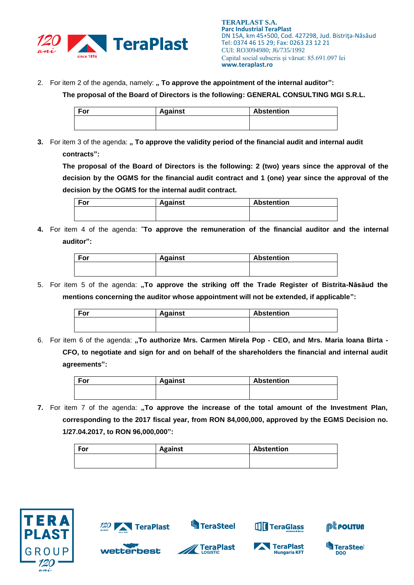

2. For item 2 of the agenda, namely: **" To approve the appointment of the internal auditor**":

**The proposal of the Board of Directors is the following: GENERAL CONSULTING MGI S.R.L.**

| For | <b>Against</b> | <b>Abstention</b> |
|-----|----------------|-------------------|
|     |                |                   |
|     |                |                   |

**3.** For item 3 of the agenda: " To approve the validity period of the financial audit and internal audit **contracts":**

**The proposal of the Board of Directors is the following: 2 (two) years since the approval of the decision by the OGMS for the financial audit contract and 1 (one) year since the approval of the decision by the OGMS for the internal audit contract.** 

| For | <b>Against</b> | <b>Abstention</b> |
|-----|----------------|-------------------|
|     |                |                   |
|     |                |                   |

**4.** For item 4 of the agenda: "**To approve the remuneration of the financial auditor and the internal auditor":**

| For | <b>Against</b> | <b>Abstention</b> |
|-----|----------------|-------------------|
|     |                |                   |
|     |                |                   |

5. For item 5 of the agenda: "To approve the striking off the Trade Register of Bistrita-Năsăud the **mentions concerning the auditor whose appointment will not be extended, if applicable":**

| For | <b>Against</b> | <b>Abstention</b> |
|-----|----------------|-------------------|
|     |                |                   |
|     |                |                   |

6. For item 6 of the agenda: **"To authorize Mrs. Carmen Mirela Pop - CEO, and Mrs. Maria Ioana Birta - CFO, to negotiate and sign for and on behalf of the shareholders the financial and internal audit agreements":**

| ' For | <b>Against</b> | <b>Abstention</b> |
|-------|----------------|-------------------|
|       |                |                   |
|       |                |                   |

**7.** For item 7 of the agenda: "To approve the increase of the total amount of the Investment Plan, **corresponding to the 2017 fiscal year, from RON 84,000,000, approved by the EGMS Decision no. 1/27.04.2017, to RON 96,000,000":**

| For | <b>Against</b> | Abstention |
|-----|----------------|------------|
|     |                |            |





wetterbest



**S**TeraSteel



TeraGlass



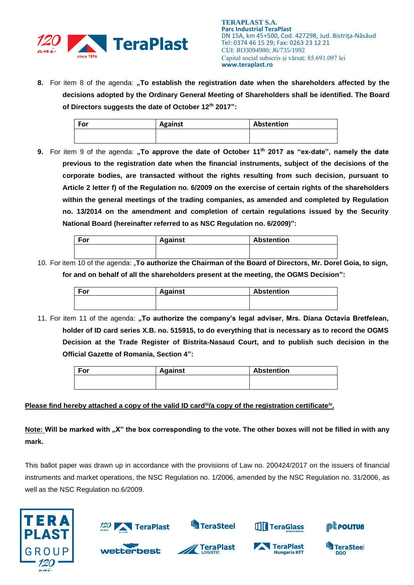

**8.** For item 8 of the agenda: "To establish the registration date when the shareholders affected by the **decisions adopted by the Ordinary General Meeting of Shareholders shall be identified. The Board of Directors suggests the date of October 12th 2017":**

| <b>For</b> | <b>Against</b> | Abstention |
|------------|----------------|------------|
|            |                |            |

**9.** For item 9 of the agenda: **"To approve the date of October 11th 2017 as "ex-date", namely the date previous to the registration date when the financial instruments, subject of the decisions of the corporate bodies, are transacted without the rights resulting from such decision, pursuant to Article 2 letter f) of the Regulation no. 6/2009 on the exercise of certain rights of the shareholders within the general meetings of the trading companies, as amended and completed by Regulation no. 13/2014 on the amendment and completion of certain regulations issued by the Security National Board (hereinafter referred to as NSC Regulation no. 6/2009)":**

| For | <b>Against</b> | <b>Abstention</b> |
|-----|----------------|-------------------|
|     |                |                   |

10. For item 10 of the agenda: "**To authorize the Chairman of the Board of Directors, Mr. Dorel Goia, to sign, for and on behalf of all the shareholders present at the meeting, the OGMS Decision":**

| <b>For</b> | <b>Against</b> | <b>Abstention</b> |
|------------|----------------|-------------------|
|            |                |                   |
|            |                |                   |

11. For item 11 of the agenda: "To authorize the company's legal adviser, Mrs. Diana Octavia Bretfelean, **holder of ID card series X.B. no. 515915, to do everything that is necessary as to record the OGMS Decision at the Trade Register of Bistrita-Nasaud Court, and to publish such decision in the Official Gazette of Romania, Section 4":**

| For | <b>Against</b> | <b>Abstention</b> |
|-----|----------------|-------------------|
|     |                |                   |
|     |                |                   |

# **Please find hereby attached a copy of the valid ID card<sup>ii</sup>/a copy of the registration certificate<sup>iv</sup>.**

**Note: Will be marked with "X" the box corresponding to the vote. The other boxes will not be filled in with any mark.** 

This ballot paper was drawn up in accordance with the provisions of Law no. 200424/2017 on the issuers of financial instruments and market operations, the NSC Regulation no. 1/2006, amended by the NSC Regulation no. 31/2006, as well as the NSC Regulation no.6/2009.